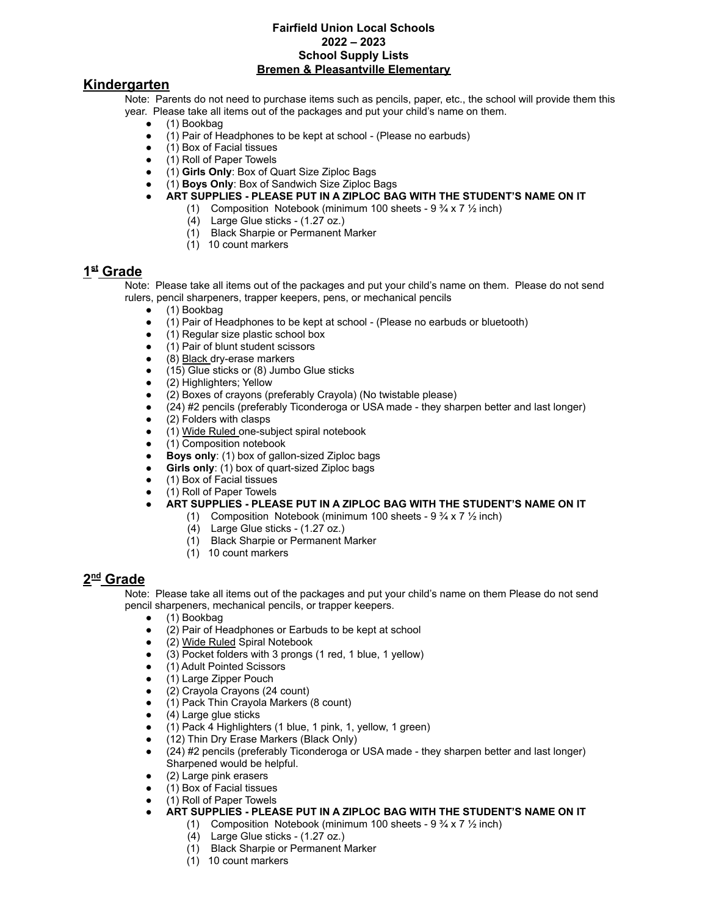#### **Fairfield Union Local Schools 2022 – 2023 School Supply Lists Bremen & Pleasantville Elementary**

### **Kindergarten**

Note: Parents do not need to purchase items such as pencils, paper, etc., the school will provide them this year. Please take all items out of the packages and put your child's name on them.

- (1) Bookbag
- (1) Pair of Headphones to be kept at school (Please no earbuds)
- (1) Box of Facial tissues
- (1) Roll of Paper Towels
- (1) **Girls Only**: Box of Quart Size Ziploc Bags
- (1) **Boys Only**: Box of Sandwich Size Ziploc Bags
- **● ART SUPPLIES PLEASE PUT IN A ZIPLOC BAG WITH THE STUDENT'S NAME ON IT**
	- (1) Composition Notebook (minimum 100 sheets  $9\frac{3}{4} \times 7\frac{1}{2}$  inch)
		- (4) Large Glue sticks (1.27 oz.)
		- (1) Black Sharpie or Permanent Marker
		- (1) 10 count markers

#### **1 st Grade**

Note: Please take all items out of the packages and put your child's name on them. Please do not send rulers, pencil sharpeners, trapper keepers, pens, or mechanical pencils

- (1) Bookbag
- (1) Pair of Headphones to be kept at school (Please no earbuds or bluetooth)
- (1) Regular size plastic school box
- (1) Pair of blunt student scissors
- (8) Black dry-erase markers
- (15) Glue sticks or (8) Jumbo Glue sticks
- (2) Highlighters; Yellow
- (2) Boxes of crayons (preferably Crayola) (No twistable please)
- (24) #2 pencils (preferably Ticonderoga or USA made they sharpen better and last longer)
- (2) Folders with clasps
- (1) Wide Ruled one-subject spiral notebook
- (1) Composition notebook
- **Boys only**: (1) box of gallon-sized Ziploc bags
- **Girls only**: (1) box of quart-sized Ziploc bags
- (1) Box of Facial tissues
- (1) Roll of Paper Towels
- **● ART SUPPLIES PLEASE PUT IN A ZIPLOC BAG WITH THE STUDENT'S NAME ON IT**
	- (1) Composition Notebook (minimum 100 sheets  $9\frac{3}{4} \times 7\frac{1}{2}$  inch)
		- (4) Large Glue sticks (1.27 oz.)
		- (1) Black Sharpie or Permanent Marker
		- (1) 10 count markers

### **2 nd Grade**

Note: Please take all items out of the packages and put your child's name on them Please do not send pencil sharpeners, mechanical pencils, or trapper keepers.

- (1) Bookbag
- (2) Pair of Headphones or Earbuds to be kept at school
- (2) Wide Ruled Spiral Notebook
- (3) Pocket folders with 3 prongs (1 red, 1 blue, 1 yellow)
- (1) Adult Pointed Scissors
- (1) Large Zipper Pouch
- (2) Crayola Crayons (24 count)
- (1) Pack Thin Crayola Markers (8 count)
- (4) Large glue sticks
- (1) Pack 4 Highlighters (1 blue, 1 pink, 1, yellow, 1 green)
- (12) Thin Dry Erase Markers (Black Only)
- (24) #2 pencils (preferably Ticonderoga or USA made they sharpen better and last longer) Sharpened would be helpful.
- (2) Large pink erasers
- (1) Box of Facial tissues
- (1) Roll of Paper Towels
- **ART SUPPLIES PLEASE PUT IN A ZIPLOC BAG WITH THE STUDENT'S NAME ON IT**
	- (1) Composition Notebook (minimum 100 sheets  $9\frac{3}{4} \times 7\frac{1}{2}$  inch)
	- (4) Large Glue sticks (1.27 oz.)
	- (1) Black Sharpie or Permanent Marker
	- (1) 10 count markers